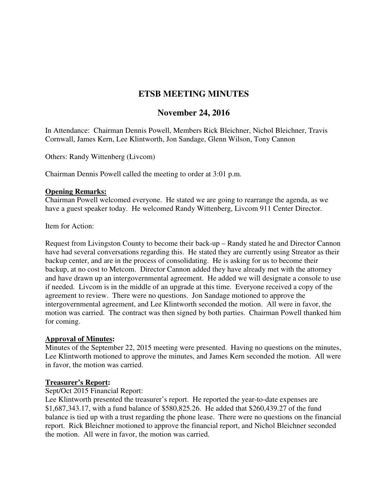# **ETSB MEETING MINUTES**

# **November 24, 2016**

In Attendance: Chairman Dennis Powell, Members Rick Bleichner, Nichol Bleichner, Travis Cornwall, James Kern, Lee Klintworth, Jon Sandage, Glenn Wilson, Tony Cannon

Others: Randy Wittenberg (Livcom)

Chairman Dennis Powell called the meeting to order at 3:01 p.m.

#### **Opening Remarks:**

Chairman Powell welcomed everyone. He stated we are going to rearrange the agenda, as we have a guest speaker today. He welcomed Randy Wittenberg, Livcom 911 Center Director.

Item for Action:

Request from Livingston County to become their back-up – Randy stated he and Director Cannon have had several conversations regarding this. He stated they are currently using Streator as their backup center, and are in the process of consolidating. He is asking for us to become their backup, at no cost to Metcom. Director Cannon added they have already met with the attorney and have drawn up an intergovernmental agreement. He added we will designate a console to use if needed. Livcom is in the middle of an upgrade at this time. Everyone received a copy of the agreement to review. There were no questions. Jon Sandage motioned to approve the intergovernmental agreement, and Lee Klintworth seconded the motion. All were in favor, the motion was carried. The contract was then signed by both parties. Chairman Powell thanked him for coming.

### **Approval of Minutes:**

Minutes of the September 22, 2015 meeting were presented. Having no questions on the minutes, Lee Klintworth motioned to approve the minutes, and James Kern seconded the motion. All were in favor, the motion was carried.

#### **Treasurer's Report:**

#### Sept/Oct 2015 Financial Report:

Lee Klintworth presented the treasurer's report. He reported the year-to-date expenses are \$1,687,343.17, with a fund balance of \$580,825.26. He added that \$260,439.27 of the fund balance is tied up with a trust regarding the phone lease. There were no questions on the financial report. Rick Bleichner motioned to approve the financial report, and Nichol Bleichner seconded the motion. All were in favor, the motion was carried.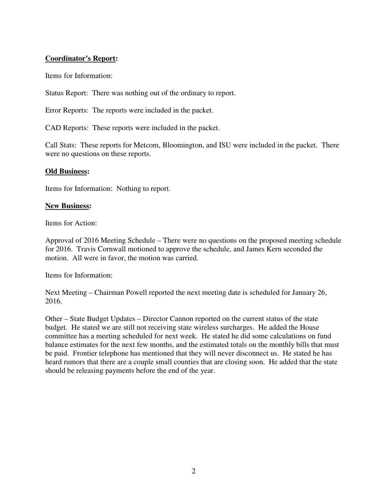### **Coordinator's Report:**

Items for Information:

Status Report: There was nothing out of the ordinary to report.

Error Reports: The reports were included in the packet.

CAD Reports: These reports were included in the packet.

Call Stats: These reports for Metcom, Bloomington, and ISU were included in the packet. There were no questions on these reports.

#### **Old Business:**

Items for Information: Nothing to report.

#### **New Business:**

Items for Action:

Approval of 2016 Meeting Schedule – There were no questions on the proposed meeting schedule for 2016. Travis Cornwall motioned to approve the schedule, and James Kern seconded the motion. All were in favor, the motion was carried.

Items for Information:

Next Meeting – Chairman Powell reported the next meeting date is scheduled for January 26, 2016.

Other – State Budget Updates – Director Cannon reported on the current status of the state budget. He stated we are still not receiving state wireless surcharges. He added the House committee has a meeting scheduled for next week. He stated he did some calculations on fund balance estimates for the next few months, and the estimated totals on the monthly bills that must be paid. Frontier telephone has mentioned that they will never disconnect us. He stated he has heard rumors that there are a couple small counties that are closing soon. He added that the state should be releasing payments before the end of the year.